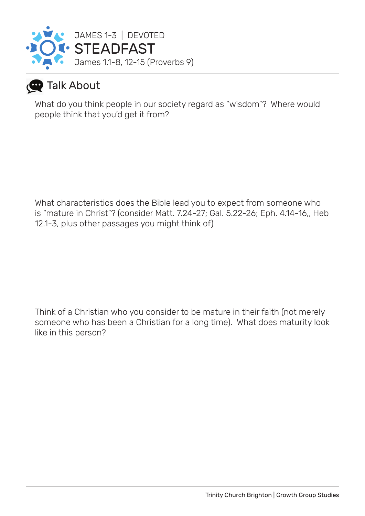

### **Talk About**

What do you think people in our society regard as "wisdom"? Where would people think that you'd get it from?

What characteristics does the Bible lead you to expect from someone who is "mature in Christ"? (consider Matt. 7.24-27; Gal. 5.22-26; Eph. 4.14-16,, Heb 12.1-3, plus other passages you might think of)

Think of a Christian who you consider to be mature in their faith (not merely someone who has been a Christian for a long time). What does maturity look like in this person?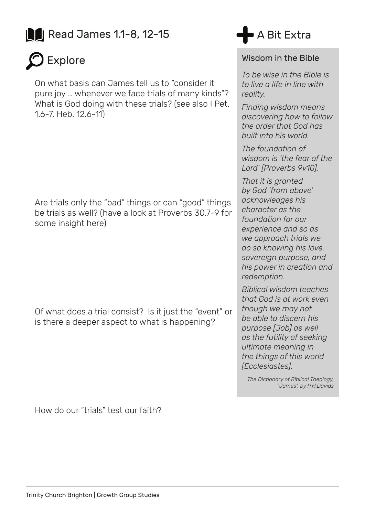## **Read James 1.1-8, 12-15**



On what basis can James tell us to "consider it pure joy … whenever we face trials of many kinds"? What is God doing with these trials? (see also I Pet. 1.6-7, Heb. 12.6-11)

Are trials only the "bad" things or can "good" things be trials as well? (have a look at Proverbs 30.7-9 for some insight here)

Of what does a trial consist? Is it just the "event" or is there a deeper aspect to what is happening?



#### Wisdom in the Bible

*To be wise in the Bible is to live a life in line with reality.* 

*Finding wisdom means discovering how to follow the order that God has built into his world.* 

*The foundation of wisdom is 'the fear of the Lord' [Proverbs 9v10].* 

*That it is granted by God 'from above' acknowledges his character as the foundation for our experience and so as we approach trials we do so knowing his love, sovereign purpose, and his power in creation and redemption.* 

*Biblical wisdom teaches that God is at work even though we may not be able to discern his purpose [Job] as well as the futility of seeking ultimate meaning in the things of this world [Ecclesiastes].* 

*The Dictionary of Biblical Theology, "James", by P.H.Davids*

How do our "trials" test our faith?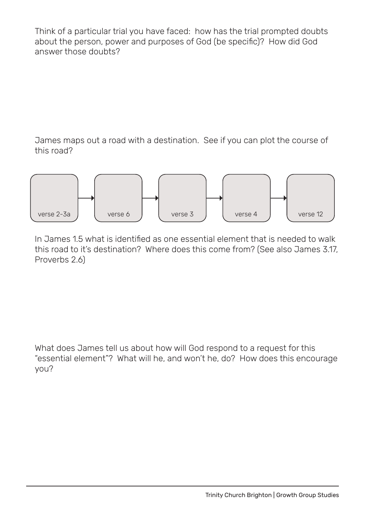Think of a particular trial you have faced: how has the trial prompted doubts about the person, power and purposes of God (be specific)? How did God answer those doubts?

James maps out a road with a destination. See if you can plot the course of this road?



In James 1.5 what is identified as one essential element that is needed to walk this road to it's destination? Where does this come from? (See also James 3.17, Proverbs 2.6)

What does James tell us about how will God respond to a request for this "essential element"? What will he, and won't he, do? How does this encourage you?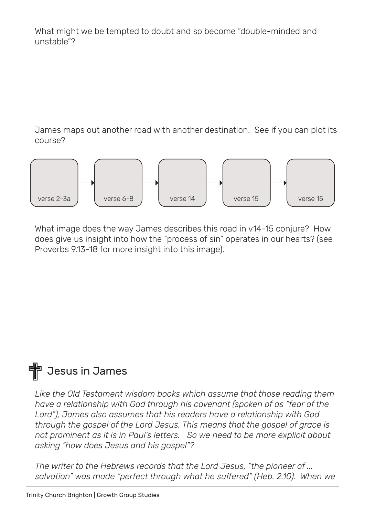What might we be tempted to doubt and so become "double-minded and unstable"?

James maps out another road with another destination. See if you can plot its course?



What image does the way James describes this road in  $v14-15$  conjure? How does give us insight into how the "process of sin" operates in our hearts? (see Proverbs 9.13-18 for more insight into this image).

# **十** Jesus in James

*Like the Old Testament wisdom books which assume that those reading them have a relationship with God through his covenant (spoken of as "fear of the Lord"), James also assumes that his readers have a relationship with God through the gospel of the Lord Jesus. This means that the gospel of grace is not prominent as it is in Paul's letters. So we need to be more explicit about asking "how does Jesus and his gospel"?*

*The writer to the Hebrews records that the Lord Jesus, "the pioneer of ... salvation" was made "perfect through what he suffered" (Heb. 2.10). When we*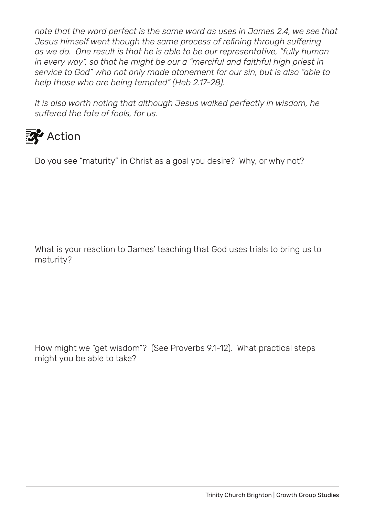*note that the word perfect is the same word as uses in James 2.4, we see that Jesus himself went though the same process of refining through suffering as we do. One result is that he is able to be our representative, "fully human in every way", so that he might be our a "merciful and faithful high priest in service to God" who not only made atonement for our sin, but is also "able to help those who are being tempted" (Heb 2.17-28).* 

*It is also worth noting that although Jesus walked perfectly in wisdom, he suffered the fate of fools, for us.*

## **Action**

Do you see "maturity" in Christ as a goal you desire? Why, or why not?

What is your reaction to James' teaching that God uses trials to bring us to maturity?

How might we "get wisdom"? (See Proverbs 9.1-12). What practical steps might you be able to take?